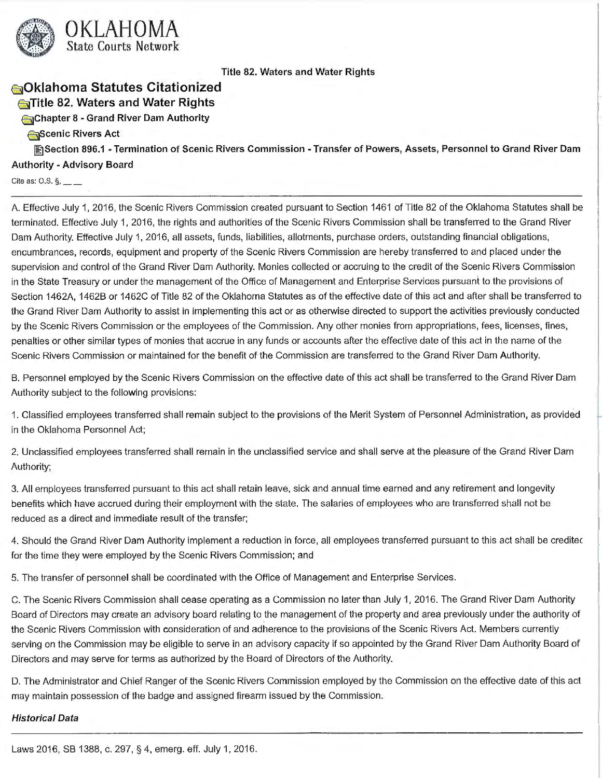

# **sOklahoma Statutes Citationized Co**Title 82. Waters and Water Rights

**€51Chapter 8** - **Grand River Dam Authority** 

#### **G**Scenic Rivers Act

**图Section 896.1 - Termination of Scenic Rivers Commission - Transfer of Powers, Assets, Personnel to Grand River Dam Authority** - **Advisory Board** 

Cite as:  $0.5.$   $\S$ ,  $\_\_$ 

A. Effective July 1, 2016, the Scenic Rivers Commission created pursuant to Section 1461 of Title 82 of the Oklahoma Statutes shall be terminated. Effective July 1, 2016, the rights and authorities of the Scenic Rivers Commission shall be transferred to the Grand River Dam Authority. Effective July 1, 2016, all assets, funds, liabilities, allotments, purchase orders, outstanding financial obligations, encumbrances, records, equipment and property of the Scenic Rivers Commission are hereby transferred to and placed under the supervision and control of the Grand River Dam Authority. Monies collected or accruing to the credit of the Scenic Rivers Commission in the State Treasury or under the management of the Office of Management and Enterprise Services pursuant to the provisions of Section 1462A, 1462B or 1462C of Title 82 of the Oklahoma Statutes as of the effective date of this act and after shall be transferred to the Grand River Dam Authority to assist in implementing this act or as otherwise directed to support the activities previously conducted by the Scenic Rivers Commission or the employees of the Commission. Any other monies from appropriations, fees, licenses, fines, penalties or other similar types of monies that accrue in any funds or accounts after the effective date of this act in the name of the Scenic Rivers Commission or maintained for the benefit of the Commission are transferred to the Grand River Dam Authority.

B. Personnel employed by the Scenic Rivers Commission on the effective date of this act shall be transferred to the Grand River Dam Authority subject to the following provisions:

1. Classified employees transferred shall remain subject to the provisions of the Merit System of Personnel Administration, as provided in the Oklahoma Personnel Act;

2. Unclassified employees transferred shall remain in the unclassified service and shall serve at the pleasure of the Grand River Dam Authority;

3. All employees transferred pursuant to this act shall retain leave, sick and annual time earned and any retirement and longevity benefits which have accrued during their employment with the state. The salaries of employees who are transferred shall not be reduced as a direct and immediate result of the transfer;

4. Should the Grand River Dam Authority implement a reduction in force, all employees transferred pursuant to this act shall be creditec for the time they were employed by the Scenic Rivers Commission; and

5. The transfer of personnel shall be coordinated with the Office of Management and Enterprise Services.

C. The Scenic Rivers Commission shall cease operating as a Commission no later than July 1, 2016. The Grand River Dam Authority Board of Directors may create an advisory board relating to the management of the property and area previously under the authority of the Scenic Rivers Commission with consideration of and adherence to the provisions of the Scenic Rivers Act. Members currently serving on the Commission may be eligible to serve in an advisory capacity if so appointed by the Grand River Dam Authority Board of Directors and may serve for terms as authorized by the Board of Directors of the Authority.

D. The Administrator and Chief Ranger of the Scenic Rivers Commission employed by the Commission on the effective date of this act may maintain possession of the badge and assigned firearm issued by the Commission.

#### **Historical Data**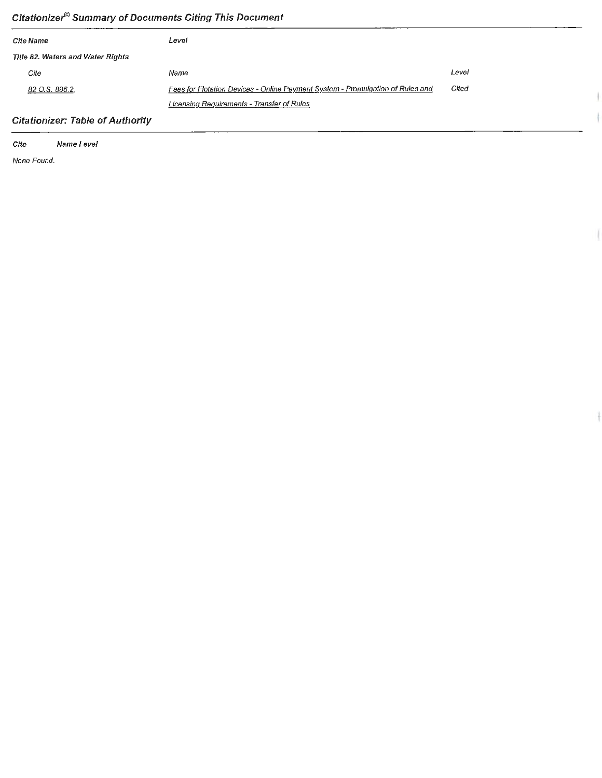# **Citationize/9 Summary of Documents Citing This Document**

| Cite Name                                | Level                                                                          |       |
|------------------------------------------|--------------------------------------------------------------------------------|-------|
| <b>Title 82. Waters and Water Rights</b> |                                                                                |       |
| Cite                                     | Name                                                                           | Level |
| 82 O.S. 896.2,                           | Fees for Flotation Devices - Online Payment System - Promulgation of Rules and | Cited |
|                                          | Licensing Requirements - Transfer of Rules                                     |       |

 $\| \cdot$ 

 $\ddagger$ 

# **Citationizer: Table of Authority**

**Cite Name Level**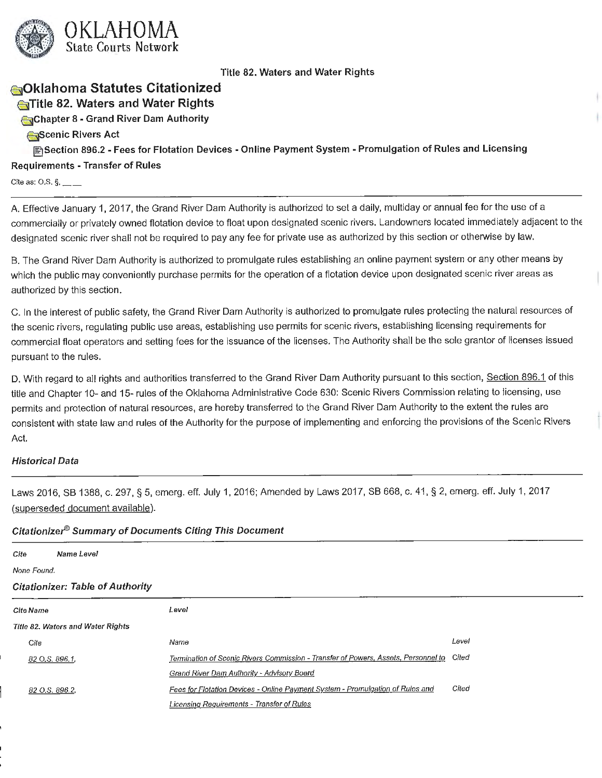

# **sOklahoma Statutes Citationized**

**Extra 82. Waters and Water Rights** 

**E51Chapter 8** - **Grand River Dam Authority** 

**ejScenic Rivers Act** 

**[filSection 896.2** - **Fees for Flotation Devices** - **Online Payment System** - **Promulgation of Rules and Licensing Requirements** - **Transfer of Rules** 

Cite as:  $O.S.$   $\S$ ,

A. Effective January 1, 2017, the Grand River Dam Authority is authorized to set a daily, multiday or annual fee for the use of a commercially or privately owned flotation device to float upon designated scenic rivers. Landowners located immediately adjacent to the designated scenic river shall not be required to pay any fee for private use as authorized by this section or otherwise by law.

B. The Grand River Dam Authority is authorized to promulgate rules establishing an online payment system or any other means by which the public may conveniently purchase permits for the operation of a flotation device upon designated scenic river areas as authorized by this section.

C. In the interest of public safety, the Grand River Dam Authority is authorized to promulgate rules protecting the natural resources of the scenic rivers, regulating public use areas, establishing use permits for scenic rivers, establishing licensing requirements for commercial float operators and setting fees for the issuance of the licenses. The Authority shall be the sole grantor of licenses issued pursuant to the rules.

D. With regard to all rights and authorities transferred to the Grand River Dam Authority pursuant to this section, Section 896.1 of this title and Chapter 10- and 15- rules of the Oklahoma Administrative Code 630: Scenic Rivers Commission relating to licensing, use permits and protection of natural resources, are hereby transferred to the Grand River Dam Authority to the extent the rules are consistent with state law and rules of the Authority for the purpose of implementing and enforcing the provisions of the Scenic Rivers Act.

## **Historical Data**

Laws 2016, SB 1388, c. 297, § 5, emerg. eff. July 1, 2016; Amended by Laws 2017, SB 668, c. 41, § 2, emerg. eff. July 1, 2017 (superseded document available).

| Cite             | Name Level                               |                                                                                    |       |
|------------------|------------------------------------------|------------------------------------------------------------------------------------|-------|
| None Found.      |                                          |                                                                                    |       |
|                  | <b>Citationizer: Table of Authority</b>  |                                                                                    |       |
| <b>Cite Name</b> |                                          | Level                                                                              |       |
|                  | <b>Title 82. Waters and Water Rights</b> |                                                                                    |       |
| Cite             |                                          | Name                                                                               | Level |
|                  | 82 O.S. 896.1                            | Termination of Scenic Rivers Commission - Transfer of Powers, Assets, Personnel to | Cited |
|                  |                                          | Grand River Dam Authority - Advisory Board                                         |       |
|                  | 82 O.S. 896.2,                           | Fees for Flotation Devices - Online Payment System - Promulgation of Rules and     | Cited |
|                  |                                          | Licensing Requirements - Transfer of Rules                                         |       |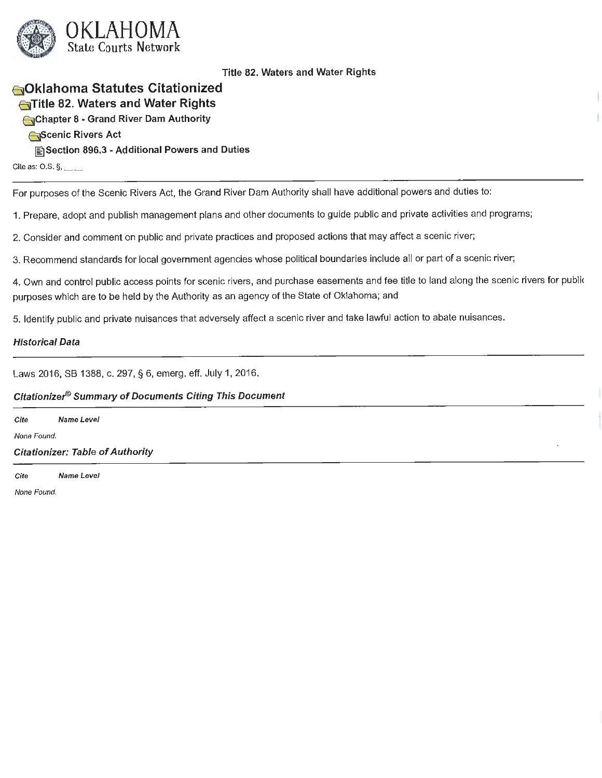

# **B Oklahoma Statutes Citationized E51Title 82. Waters and Water Rights**

**E51Chapter 8 - Grand River Dam Authority** 

**~cenic Rivers Act** 

**[filSection 896.3 - Additional Powers and Duties** 

Cite as:  $O.S. \S$ ,  $\_\_$ 

For purposes of the Scenic Rivers Act, the Grand River Dam Authority shall have additional powers and duties to:

1. Prepare, adopt and publish management plans and other documents to guide public and private activities and programs;

2. Consider and comment on public and private practices and proposed actions that may affect a scenic river;

3. Recommend standards for local government agencies whose political boundaries include all or part of a scenic river;

4. Own and control public access points for scenic rivers, and purchase easements and fee title to land along the scenic rivers for publi< purposes which are to be held by the Authority as an agency of the State of Oklahoma; and

5. Identify public and private nuisances that adversely affect a scenic river and take lawful action to abate nuisances.

## **Historical Data**

Laws 2016, SB 1388, c. 297, § 6, emerg. eff. July 1, 2016.

## **Citationize/9 Summary of Documents Citing This Document**

**Cite Name Level**  None Found. **Citationizer: Table of Authority** 

Cite Name Level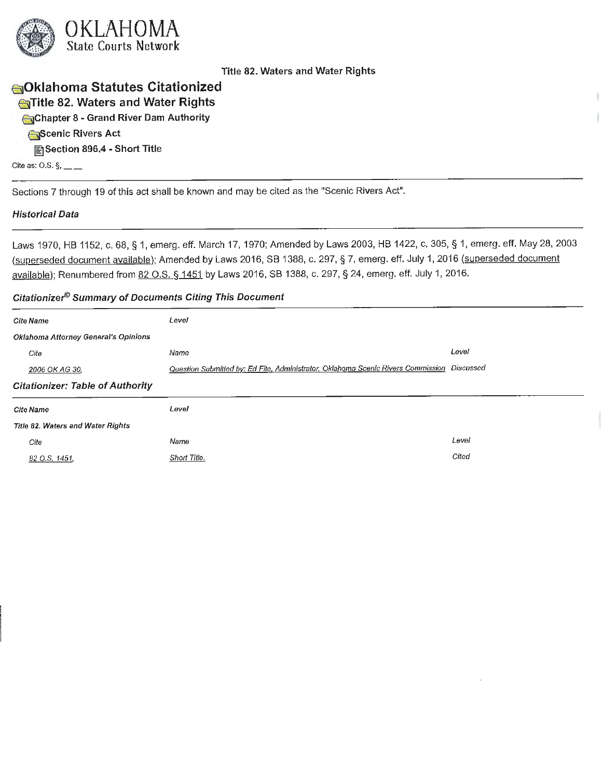

# **€51Oklahoma Statutes Citationized <sup>a</sup> Title 82. Waters and Water Rights**

**€5)Chapter 8** - **Grand River Dam Authority** 

**(aScenic Rivers Act** 

**@I]Section 896.4** - **Short Title** 

Cite as: O.S.  $\S$ ,  $\_\_$ 

Sections 7 through 19 of this act shall be known and may be cited as the "Scenic Rivers Act".

## **Historical Data**

Laws 1970, HB 1152, c. 68, § 1, emerg. eff. March 17, 1970; Amended by Laws 2003, HB 1422, c. 305, § 1, emerg. eff. May 28, 2003 (superseded document available); Amended by Laws 2016, SB 1388, c. 297, § 7, emerg. eff. July 1, 2016 (superseded document available); Renumbered from 82 O.S. § 1451 by Laws 2016, SB 1388, c. 297, § 24, emerg. eff. July 1, 2016.

| <b>Cite Name</b>                        | Level                                                                            |           |
|-----------------------------------------|----------------------------------------------------------------------------------|-----------|
| Oklahoma Attorney General's Opinions    |                                                                                  |           |
| Cite                                    | Name                                                                             | Level     |
| 2006 OK AG 30,                          | Question Submitted by: Ed Fite, Administrator, Oklahoma Scenic Rivers Commission | Discussed |
| <b>Citationizer: Table of Authority</b> |                                                                                  |           |
| Cite Name                               | Level                                                                            |           |
| Title 82. Waters and Water Rights       |                                                                                  |           |
| Cite                                    | Name                                                                             | Level     |
| 82 O.S. 1451.                           | Short Title.                                                                     | Cited     |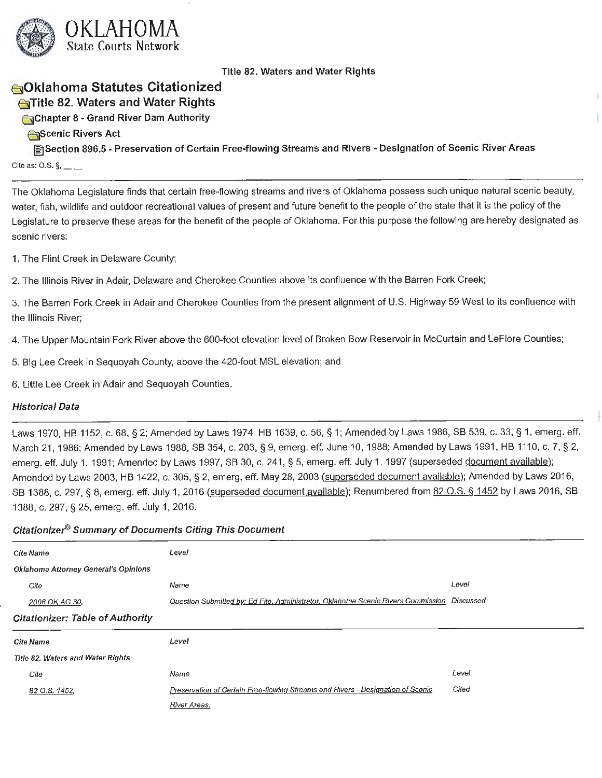

# **6]0klahoma Statutes Citationized ~ Title 82. Waters and Water Rights**

**@slChapter 8** - **Grand River Dam Authority** 

**~cenic Rivers Act** 

**~Section 896.5** - **Preservation of Certain Free-flowing Streams and Rivers** - **Designation of Scenic River Areas**  Cite as: O.S.  $\S$ , \_\_ \_

The Oklahoma Legislature finds that certain free-flowing streams and rivers of Oklahoma possess such unique natural scenic beauty, water, fish, wildlife and outdoor recreational values of present and future benefit to the people of the state that it is the policy of the Legislature to preserve these areas for the benefit of the people of Oklahoma. For this purpose the following are hereby designated as scenic rivers:

1. The Flint Creek in Delaware County;

2. The Illinois River in Adair, Delaware and Cherokee Counties above its confluence with the Barren Fork Creek;

3. The Barren Fork Creek in Adair and Cherokee Counties from the present alignment of U.S. Highway 59 West to its confluence with the Illinois River;

4. The Upper Mountain Fork River above the 600-foot elevation level of Broken Bow Reservoir in McCurtain and LeFlore Counties;

5. Big Lee Creek in Sequoyah County, above the 420-foot MSL elevation; and

6. Little Lee Creek in Adair and Sequoyah Counties.

## **Historical Data**

Laws 1970, HB 1152, c. 68, § 2; Amended by Laws 1974, HB 1639, c. 56, § 1; Amended by Laws 1986, SB 539, c. 33, § 1, emerg. eff. March 21, 1986; Amended by Laws 1988, SB 354, c. 203, § 9, emerg. eff. June 10, 1988; Amended by Laws 1991, HB 1110, c. 7, § 2, emerg. eff. July 1, 1991; Amended by Laws 1997, SB 30, c. 241, § 5, emerg. eff. July 1, 1997 (superseded document available); Amended by Laws 2003, HB 1422, c. 305, § 2, emerg. eff. May 28, 2003 (superseded document available); Amended by Laws 2016, SB 1388, c. 297, § 8, emerg. eff. July 1, 2016 (superseded document available); Renumbered from 82 O.S. § 1452 by Laws 2016, SB 1388, c. 297, § 25, emerg. eff. July 1, 2016.

| <b>Cite Name</b>                        | Level                                                                                      |       |
|-----------------------------------------|--------------------------------------------------------------------------------------------|-------|
| Oklahoma Attorney General's Opinions    |                                                                                            |       |
| Cite                                    | Name                                                                                       | Level |
| 2006 OK AG 30,                          | Question Submitted by: Ed Fite, Administrator, Oklahoma Scenic Rivers Commission Discussed |       |
| <b>Citationizer: Table of Authority</b> |                                                                                            |       |
|                                         |                                                                                            |       |
| <b>Cite Name</b>                        | Level                                                                                      |       |
| Title 82. Waters and Water Rights       |                                                                                            |       |
| Cite                                    | Name                                                                                       | Level |
| 82 O.S. 1452,                           | Preservation of Certain Free-flowing Streams and Rivers - Designation of Scenic            | Cited |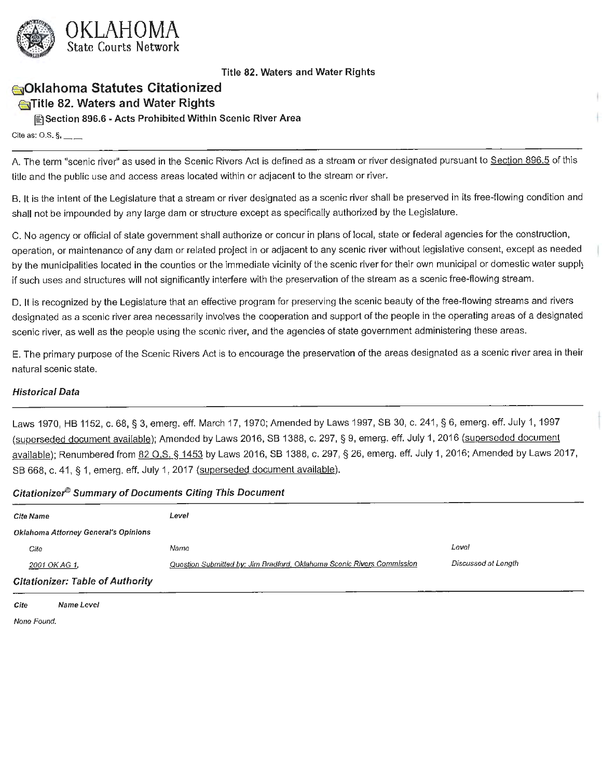

# **6}0klahoma Statutes Citationized**

## **E5]Title 82. Waters and Water Rights**

**@:)Section 896.6 -Acts Prohibited Within Scenic River Area** 

Cite as:  $0.5.$   $\S$ , \_\_\_\_

A. The term "scenic river" as used in the Scenic Rivers Act is defined as a stream or river designated pursuant to Section 896.5 of this title and the public use and access areas located within or adjacent to the stream or river.

B. It is the intent of the Legislature that a stream or river designated as a scenic river shall be preserved in its free-flowing condition and shall not be impounded by any large dam or structure except as specifically authorized by the Legislature.

C. No agency or official of state government shall authorize or concur in plans of local, state or federal agencies for the construction, operation, or maintenance of any dam or related project in or adjacent to any scenic river without legislative consent, except as needed by the municipalities located in the counties or the immediate vicinity of the scenic river for their own municipal or domestic water supply if such uses and structures will not significantly interfere with the preservation of the stream as a scenic free-flowing stream.

D. It is recognized by the Legislature that an effective program for preserving the scenic beauty of the free-flowing streams and rivers designated as a scenic river area necessarily involves the cooperation and support of the people in the operating areas of a designated scenic river, as well as the people using the scenic river, and the agencies of state government administering these areas.

E. The primary purpose of the Scenic Rivers Act is to encourage the preservation of the areas designated as a scenic river area in their natural scenic state.

## **Historical Data**

Laws 1970, HB 1152, c. 68, § 3, emerg. eff. March 17, 1970; Amended by Laws 1997, SB 30, c. 241, § 6, emerg. eff. July 1, 1997 (superseded document available); Amended by Laws 2016, SB 1388, c. 297, § 9, emerg. eff. July 1, 2016 (superseded document available); Renumbered from 82 O.S. § 1453 by Laws 2016, SB 1388, c. 297, § 26, emerg. eff. July 1, 2016; Amended by Laws 2017, SB 668, c. 41, § 1, emerg. eff. July 1, 2017 (superseded document available).

#### **Citationizer® Summary of Documents Citing This Document**

| <b>Cite Name</b>                        | Level                                                                  |                     |
|-----------------------------------------|------------------------------------------------------------------------|---------------------|
| Oklahoma Attorney General's Opinions    |                                                                        |                     |
| Cite                                    | Name                                                                   | Level               |
| 2001 OK AG 1,                           | Question Submitted by: Jim Bradford, Oklahoma Scenic Rivers Commission | Discussed at Length |
| <b>Citationizer: Table of Authority</b> |                                                                        |                     |

**Cite Name Level**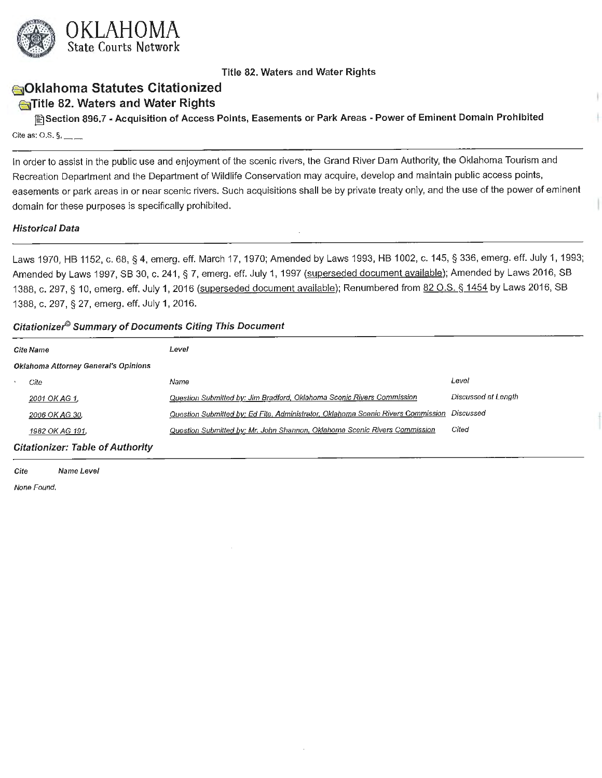

# **€:5)Oklahoma Statutes Citationized**

# **E5]Title 82. Waters and Water Rights**

**[filSection 896.7** - **Acquisition of Access Points, Easements or Park Areas** - **Power of Eminent Domain Prohibited**  Cite as: O.S.  $\S$ , \_\_\_

In order to assist in the public use and enjoyment of the scenic rivers, the Grand River Dam Authority, the Oklahoma Tourism and Recreation Department and the Department of Wildlife Conservation may acquire, develop and maintain public access points, easements or park areas in or near scenic rivers. Such acquisitions shall be by private treaty only, and the use of the power of eminent domain for these purposes is specifically prohibited.

#### **Historical Data**

Laws 1970, HB 1152, c. 68, § 4, emerg. eff. March 17, 1970; Amended by Laws 1993, HB 1002, c. 145, § 336, emerg. eff. July 1, 1993; Amended by Laws 1997, SB 30, c. 241, § 7, emerg. eff. July 1, 1997 (superseded document available); Amended by Laws 2016, SB 1388, c. 297, § 10, emerg. eff. July 1, 2016 (superseded document available); Renumbered from 82 O.S. § 1454 by Laws 2016, SB 1388, c. 297, § 27, emerg. eff. July 1, 2016.

#### **Citationize/9 Summary of Documents Citing This Document**

| <b>Cite Name</b>                        | Level                                                                            |                     |
|-----------------------------------------|----------------------------------------------------------------------------------|---------------------|
| Oklahoma Attorney General's Opinions    |                                                                                  |                     |
| Cite                                    | Name                                                                             | Level               |
| 2001 OK AG 1,                           | Question Submitted by: Jim Bradford, Oklahoma Scenic Rivers Commission           | Discussed at Length |
| 2006 OK AG 30,                          | Question Submitted by: Ed Fite, Administrator, Oklahoma Scenic Rivers Commission | Discussed           |
| 1982 OK AG 191.                         | Question Submitted by: Mr. John Shannon, Oklahoma Scenic Rivers Commission       | Cited               |
| <b>Citationizer: Table of Authority</b> |                                                                                  |                     |

**Cite Name Level**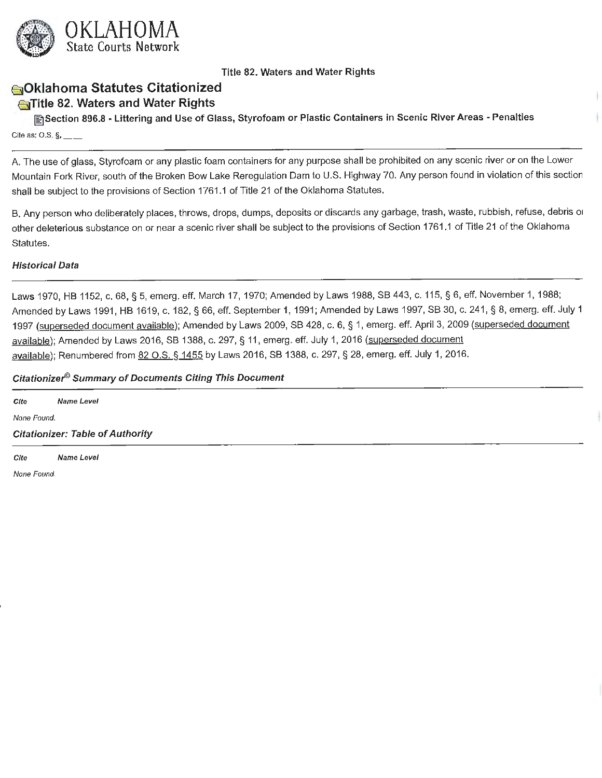

# **sOklahoma Statutes Citationized**

# **E5]Title 82. Waters and Water Rights**

**lfilSection 896.8** • **Littering and Use of Glass, Styrofoam or Plastic Containers in Scenic River Areas** - **Penalties**  Cite as: O.S.  $\S$ , \_\_\_\_

A. The use of glass, Styrofoam or any plastic foam containers for any purpose shall be prohibited on any scenic river or on the Lower Mountain Fork River, south of the Broken Bow Lake Reregulation Dam to U.S. Highway 70. Any person found in violation of this section shall be subject to the provisions of Section 1761.1 of Title 21 of the Oklahoma Statutes.

B. Any person who deliberately places, throws, drops, dumps, deposits or discards any garbage, trash, waste, rubbish, refuse, debris or other deleterious substance on or near a scenic river shall be subject to the provisions of Section 1761.1 of Title 21 of the Oklahoma Statutes.

## **Historical Data**

Laws 1970, HB 1152, c. 68, § 5, emerg. eff. March 17, 1970; Amended by Laws 1988, SB 443, c. 115, § 6, eff. November 1, 1988; Amended by Laws 1991, HB 1619, c. 182, § 66, eff. September 1, 1991; Amended by Laws 1997, SB 30, c. 241 , § 8, emerg. eff. July 1 1997 (superseded document available); Amended by Laws 2009, SB 428, c. 6, § 1, emerg. eff. April 3, 2009 (superseded document available); Amended by Laws 2016, SB 1388, c. 297, § 11, emerg. eff. July 1, 2016 (superseded document available); Renumbered from 82 O.S. § 1455 by Laws 2016, SB 1388, c. 297, § 28, emerg. eff. July 1, 2016.

#### **Citationizer9 Summary of Documents Citing This Document**

| Cite        | Name Level                              |  |  |  |
|-------------|-----------------------------------------|--|--|--|
| None Found. |                                         |  |  |  |
|             | <b>Citationizer: Table of Authority</b> |  |  |  |
| Cite        | Name Level                              |  |  |  |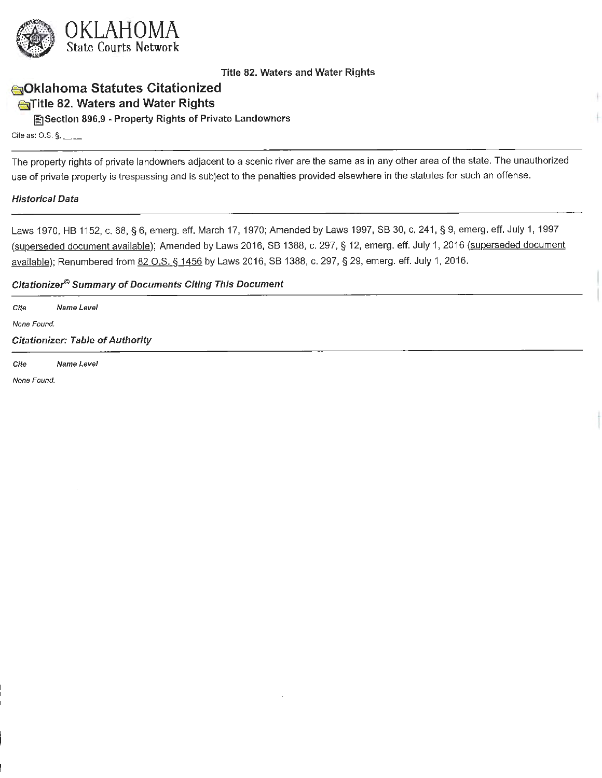

# **1o10klahoma Statutes Citationized**

# **c**Title 82. Waters and Water Rights

**lfilSection 896.9** • **Property Rights of Private Landowners** 

Cite as: O.S.  $\S$ , \_\_ \_

The property rights of private landowners adjacent to a scenic river are the same as in any other area of the state. The unauthorized use of private property is trespassing and is subject to the penalties provided elsewhere in the statutes for such an offense.

#### **Historical Data**

Laws 1970, HB 1152, c. 68, § 6, emerg. eff. March 17, 1970; Amended by Laws 1997, SB 30, c. 241, § 9, emerg. eff. July 1, 1997 (superseded document available); Amended by Laws 2016, SB 1388, c. 297, § 12, emerg. eff. July 1, 2016 (superseded document available); Renumbered from 82 O.S. § 1456 by Laws 2016, SB 1388, c. 297, § 29, emerg. eff. July 1, 2016.

### **Citationize/9 Summary of Documents Citing This Document**

**Cite Name Level** 

None Found.

**Citationizer: Table of Authority** 

Cite Name Level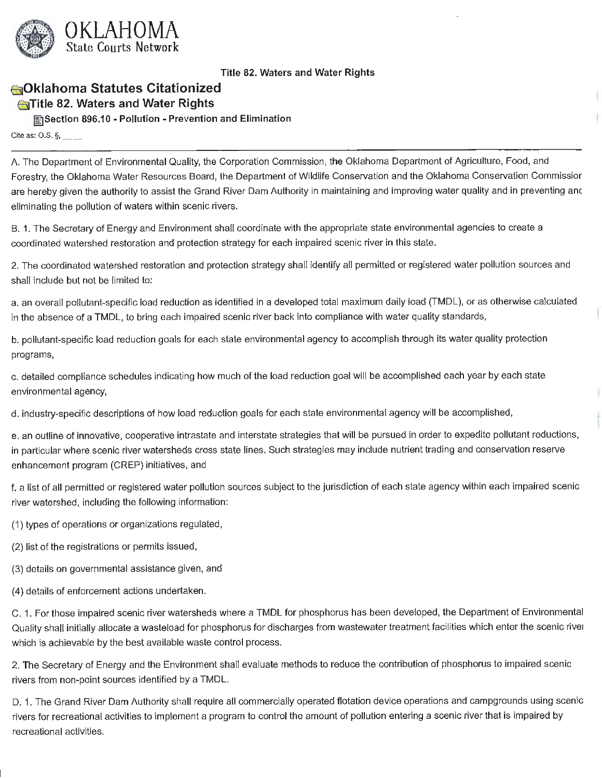

# **~ Oklahoma Statutes Citationized**

## **(:5]Title 82. Waters and Water Rights**

**~Section 896.10** • **Pollution** - **Prevention and Elimination** 

Cite as: O.S.  $\S$ , \_\_\_

A. The Department of Environmental Quality, the Corporation Commission, the Oklahoma Department of Agriculture, Food, and Forestry, the Oklahoma Water Resources Board, the Department of Wildlife Conservation and the Oklahoma Conservation Commissior are hereby given the authority to assist the Grand River Dam Authority in maintaining and improving water quality and in preventing anc eliminating the pollution of waters within scenic rivers.

B. 1. The Secretary of Energy and Environment shall coordinate with the appropriate state environmental agencies to create a coordinated watershed restoration and protection strategy for each impaired scenic river in this state.

2. The coordinated watershed restoration and protection strategy shall identify all permitted or registered water pollution sources and shall include but not be limited to:

a. an overall pollutant-specific load reduction as identified in a developed total maximum daily load (TMDL), or as otherwise calculated in the absence of a TMDL, to bring each impaired scenic river back into compliance with water quality standards,

b. pollutant-specific load reduction goals for each state environmental agency to accomplish through its water quality protection programs,

c. detailed compliance schedules indicating how much of the load reduction goal will be accomplished each year by each state environmental agency,

d. industry-specific descriptions of how load reduction goals for each state environmental agency will be accomplished,

e. an outline of innovative, cooperative intrastate and interstate strategies that will be pursued in order to expedite pollutant reductions, in particular where scenic river watersheds cross state lines. Such strategies may include nutrient trading and conservation reserve enhancement program (CREP) initiatives, and

f. a list of all permitted or registered water pollution sources subject to the jurisdiction of each state agency within each impaired scenic river watershed, including the following information:

(1) types of operations or organizations regulated,

- (2) list of the registrations or permits issued,
- (3) details on governmental assistance given, and
- (4) details of enforcement actions undertaken.

C. 1. For those impaired scenic river watersheds where a TMDL for phosphorus has been developed, the Department of Environmental Quality shall initially allocate a wasteload for phosphorus for discharges from wastewater treatment facilities which enter the scenic rivei which is achievable by the best available waste control process.

2. The Secretary of Energy and the Environment shall evaluate methods to reduce the contribution of phosphorus to impaired scenic rivers from non-point sources identified by a TMDL.

D. 1. The Grand River Dam Authority shall require all commercially operated flotation device operations and campgrounds using scenic rivers for recreational activities to implement a program to control the amount of pollution entering a scenic river that is impaired by recreational activities.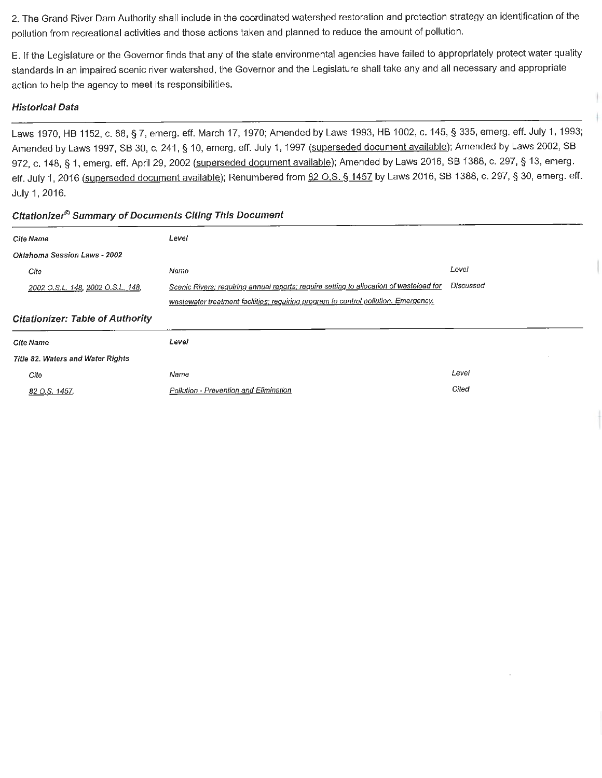2. The Grand River Dam Authority shall include in the coordinated watershed restoration and protection strategy an identification of the pollution from recreational activities and those actions taken and planned to reduce the amount of pollution.

E. If the Legislature or the Governor finds that any of the state environmental agencies have failed to appropriately protect water quality standards in an impaired scenic river watershed, the Governor and the Legislature shall take any and all necessary and appropriate action to help the agency to meet its responsibilities.

## **Historical Data**

*2002 O.S.L. 148, 2002 O.S.L. 148,* 

Laws 1970, HB 1152, c. 68, § 7, emerg. eff. March 17, 1970; Amended by Laws 1993, HB 1002, c. 145, § 335, emerg. eff. July 1, 1993; Amended by Laws 1997, SB 30, c. 241, § 10, emerg. eff. July 1, 1997 (superseded document available); Amended by Laws 2002, SB 972, c. 148, § 1, emerg. eff. April 29, 2002 (superseded document available); Amended by Laws 2016, SB 1388, c. 297, § 13, emerg. eff. July 1, 2016 (superseded document available); Renumbered from 82 O.S. § 1457 by Laws 2016, SB 1388, c. 297, § 30, emerg. eff. July 1, 2016.

## **Cite Name Oklahoma Session Laws** • **2002**  Cite Level Name Level Scenic Rivers; requiring annual reports; require setting to allocation of wasteload for Discussed

| wastewater treatment facilities; requiring program to control pollution. Emergency, |                                        |       |
|-------------------------------------------------------------------------------------|----------------------------------------|-------|
| <b>Citationizer: Table of Authority</b>                                             |                                        |       |
| <b>Cite Name</b>                                                                    | Level                                  |       |
| Title 82. Waters and Water Rights                                                   |                                        |       |
| Cite                                                                                | Name                                   | Level |
| $82 \Omega$ S. 1457.                                                                | Pollution - Prevention and Elimination | Cited |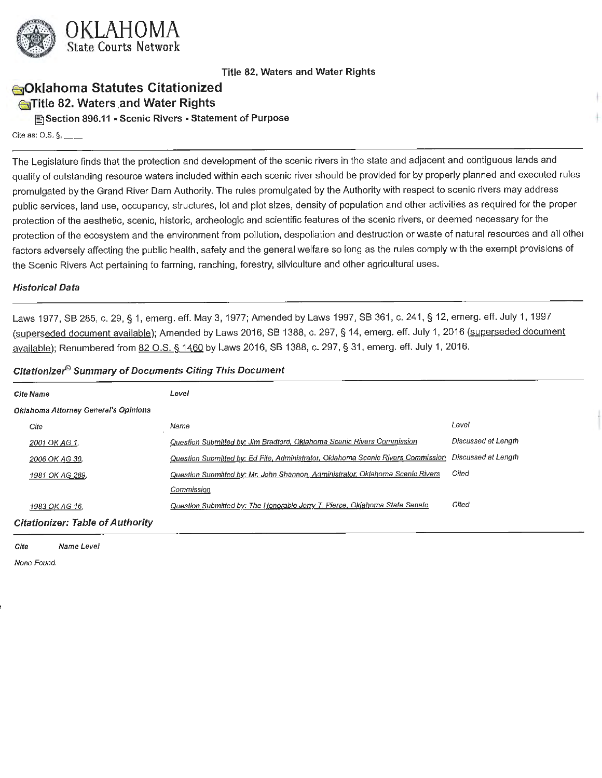

# **e51Oklahoma Statutes Citationized EnTitle 82. Waters and Water Rights**

**[filSection 896.11** - **Scenic Rivers** - **Statement of Purpose** 

Cite as:  $0.5.$   $\S$ , \_\_\_

The Legislature finds that the protection and development of the scenic rivers in the state and adjacent and contiguous lands and quality of outstanding resource waters included within each scenic river should be provided for by properly planned and executed rules promulgated by the Grand River Dam Authority. The rules promulgated by the Authority with respect to scenic rivers may address public services, land use, occupancy, structures, lot and plot sizes, density of population and other activities as required for the proper protection of the aesthetic, scenic, historic, archeologic and scientific features of the scenic rivers, or deemed necessary for the protection of the ecosystem and the environment from pollution, despoliation and destruction or waste of natural resources and all other factors adversely affecting the public health, safety and the general welfare so long as the rules comply with the exempt provisions of the Scenic Rivers Act pertaining to farming, ranching, forestry, silviculture and other agricultural uses.

#### **Historical Data**

Laws 1977, SB 285, c. 29, § 1, emerg. eff. May 3, 1977; Amended by Laws 1997, SB 361, c. 241, § 12, emerg. eff. July 1, 1997 (superseded document available); Amended by Laws 2016, SB 1388, c. 297, § 14, emerg. eff. July 1, 2016 (superseded document available); Renumbered from 82 O.S. § 1460 by Laws 2016, SB 1388, c. 297, § 31, emerg. eff. July 1, 2016.

#### **Citationize/9 Summary of Documents Citing This Document**

| Cite Name                                   | Level                                                                            |                     |
|---------------------------------------------|----------------------------------------------------------------------------------|---------------------|
| <b>Oklahoma Attorney General's Opinions</b> |                                                                                  |                     |
| Cite                                        | Name                                                                             | Level               |
| 2001 OK AG 1,                               | Question Submitted by: Jim Bradford, Oklahoma Scenic Rivers Commission           | Discussed at Length |
| 2006 OK AG 30.                              | Question Submitted by: Ed Fite, Administrator, Oklahoma Scenic Rivers Commission | Discussed at Length |
| 1981 OK AG 289,                             | Question Submitted by: Mr. John Shannon, Administrator, Oklahoma Scenic Rivers   | Cited               |
|                                             | Commission                                                                       |                     |
| 1983 OK AG 16,                              | Question Submitted by: The Honorable Jerry T. Pierce, Oklahoma State Senate      | Cited               |
| <b>Citationizer: Table of Authority</b>     |                                                                                  |                     |

**Cite Name Level**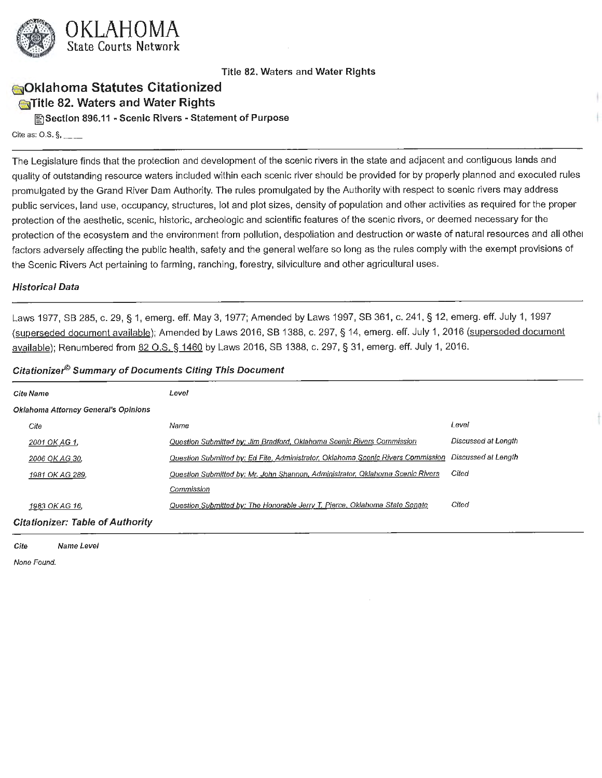

# **1a10klahoma Statutes Citationized €:J!Title 82. Waters and Water Rights**

**~Section 896.11** • **Scenic Rivers• Statement of Purpose** 

Cite as:  $0.5.$   $\S$ , \_\_\_

The Legislature finds that the protection and development of the scenic rivers in the state and adjacent and contiguous lands and quality of outstanding resource waters included within each scenic river should be provided for by properly planned and executed rules promulgated by the Grand River Dam Authority. The rules promulgated by the Authority with respect to scenic rivers may address public services, land use, occupancy, structures, lot and plot sizes, density of population and other activities as required for the proper protection of the aesthetic, scenic, historic, archeologic and scientific features of the scenic rivers, or deemed necessary for the protection of the ecosystem and the environment from pollution, despoliation and destruction or waste of natural resources and all other factors adversely affecting the public health, safety and the general welfare so long as the rules comply with the exempt provisions of the Scenic Rivers Act pertaining to farming, ranching, forestry, silviculture and other agricultural uses.

#### **Historical Data**

Laws 1977, SB 285, c. 29, § 1, emerg. eff. May 3, 1977; Amended by Laws 1997, SB 361, c. 241, § 12, emerg. eff. July 1, 1997 (superseded document available); Amended by Laws 2016, SB 1388, c. 297, § 14, emerg. eff. July 1, 2016 (superseded document available); Renumbered from 82 O.S. § 1460 by Laws 2016, SB 1388, c. 297, § 31, emerg. eff. July 1, 2016.

#### **Citationize/9 Summary of Documents Citing This Document**

| <b>Cite Name</b>                            | Level                                                                            |                     |
|---------------------------------------------|----------------------------------------------------------------------------------|---------------------|
| <b>Oklahoma Attorney General's Opinions</b> |                                                                                  |                     |
| Cite                                        | Name                                                                             | Level               |
| 2001 OK AG 1,                               | Question Submitted by: Jim Bradford, Oklahoma Scenic Rivers Commission           | Discussed at Length |
| 2006 OK AG 30,                              | Question Submitted by: Ed Fite, Administrator, Oklahoma Scenic Rivers Commission | Discussed at Length |
| 1981 OK AG 289.                             | Question Submitted by: Mr. John Shannon, Administrator, Oklahoma Scenic Rivers   | Cited               |
|                                             | Commission                                                                       |                     |
| 1983 OK AG 16,                              | Question Submitted by: The Honorable Jerry T. Pierce, Oklahoma State Senate      | Cited               |
| <b>Citationizer: Table of Authority</b>     |                                                                                  |                     |

**Cite Name Level**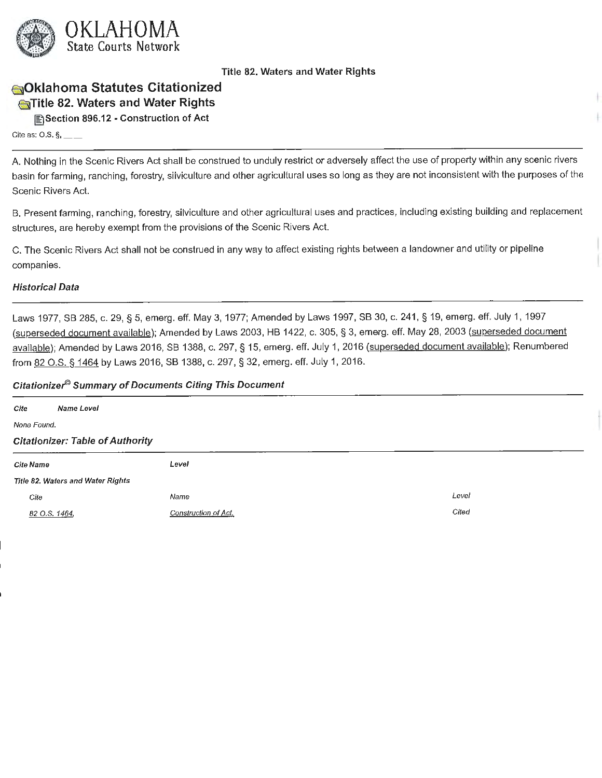

# **ili)Oklahoma Statutes Citationized 1!51Title 82. Waters and Water Rights**

**~Section 896.12 - Construction of Act** 

Cite as:  $0.5.$   $\S$ <sub>1</sub> \_\_ \_

A. Nothing in the Scenic Rivers Act shall be construed to unduly restrict or adversely affect the use of property within any scenic rivers basin for farming, ranching, forestry, silviculture and other agricultural uses so long as they are not inconsistent with the purposes of the Scenic Rivers Act.

B. Present farming, ranching, forestry, silviculture and other agricultural uses and practices, including existing building and replacement structures, are hereby exempt from the provisions of the Scenic Rivers Act.

C. The Scenic Rivers Act shall not be construed in any way to affect existing rights between a landowner and utility or pipeline companies.

#### **Historical Data**

Laws 1977, SB 285, c. 29, § 5, emerg. eff. May 3, 1977; Amended by Laws 1997, SB 30, c. 241, § 19, emerg. eff. July 1, 1997 (superseded document available); Amended by Laws 2003, HB 1422, c. 305, § 3, emerg. eff. May 28, 2003 (superseded document available); Amended by Laws 2016, SB 1388, c. 297, § 15, emerg. eff. July 1, 2016 (superseded document available); Renumbered from 82 O.S. § 1464 by Laws 2016, SB 1388, c. 297, § 32, emerg. eff. July 1, 2016.

| Cite                              | Name Level                              |                      |       |
|-----------------------------------|-----------------------------------------|----------------------|-------|
| None Found.                       |                                         |                      |       |
|                                   | <b>Citationizer: Table of Authority</b> |                      |       |
| <b>Cite Name</b>                  |                                         | Level                |       |
| Title 82. Waters and Water Rights |                                         |                      |       |
| Cite                              |                                         | Name                 | Level |
| 82 O.S. 1464,                     |                                         | Construction of Act. | Cited |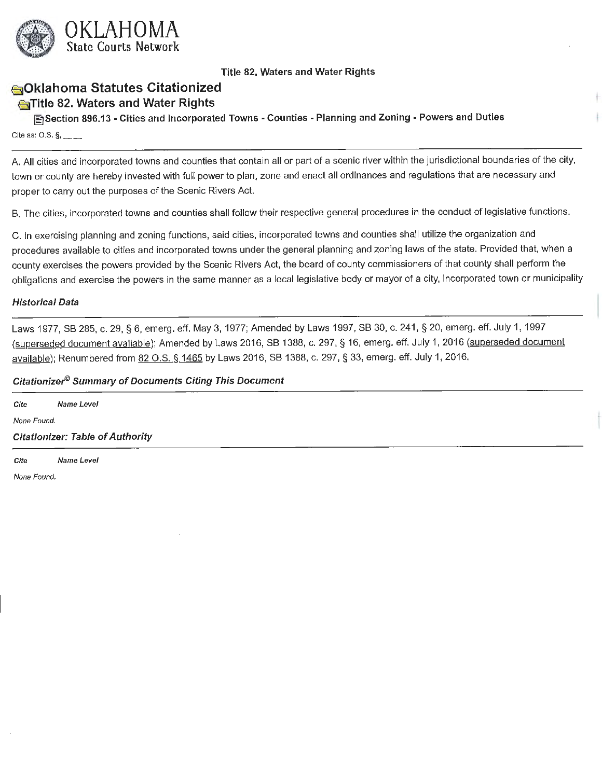

# **sOklahoma Statutes Citationized**

# **Endlife 82. Waters and Water Rights**

**~Section 896.13 - Cities and Incorporated Towns - Counties - Planning and Zoning - Powers and Duties**  Cite as:  $0.5.$   $\S$ ,  $\_\_$ 

A. All cities and incorporated towns and counties that contain all or part of a scenic river within the jurisdictional boundaries of the city, town or county are hereby invested with full power to plan, zone and enact all ordinances and regulations that are necessary and proper to carry out the purposes of the Scenic Rivers Act.

B. The cities, incorporated towns and counties shall follow their respective general procedures in the conduct of legislative functions.

C. In exercising planning and zoning functions, said cities, incorporated towns and counties shall utilize the organization and procedures available to cities and incorporated towns under the general planning and zoning laws of the state. Provided that, when a county exercises the powers provided by the Scenic Rivers Act, the board of county commissioners of that county shall perform the obligations and exercise the powers in the same manner as a local legislative body or mayor of a city, incorporated town or municipality

#### **Historical Data**

Laws 1977, SB 285, c. 29, § 6, emerg. eff. May 3, 1977; Amended by Laws 1997, SB 30, c. 241, § 20, emerg. eff. July 1, 1997 (superseded document available); Amended by Laws 2016, SB 1388, c. 297, § 16, emerg. eff. July 1, 2016 (superseded document available); Renumbered from 82 O.S. § 1465 by Laws 2016, SB 1388, c. 297, § 33, emerg. eff. July 1, 2016.

#### **Citationizer© Summary of Documents Citing This Document**

| Cite        | Name Level                              |  |  |
|-------------|-----------------------------------------|--|--|
| None Found. |                                         |  |  |
|             | <b>Citationizer: Table of Authority</b> |  |  |
|             |                                         |  |  |

Cite Name Level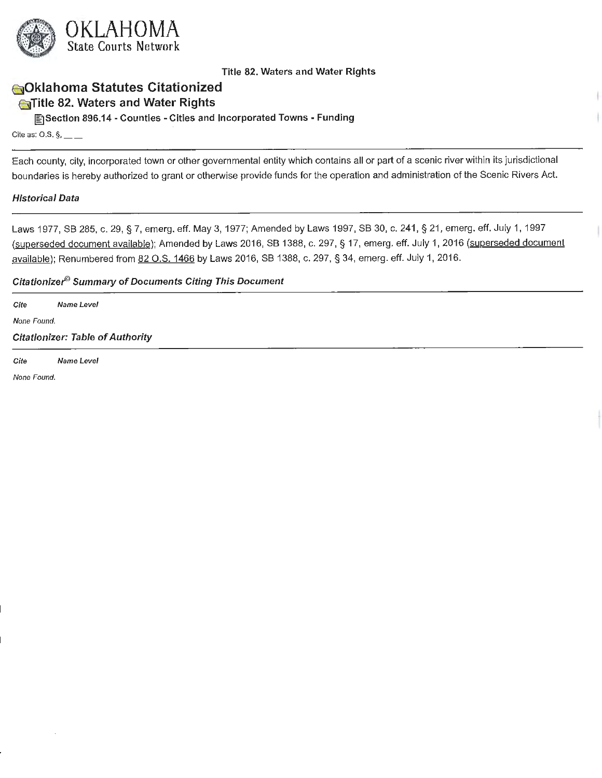

# **esiOklahoma Statutes Citationized c**Title 82. Waters and Water Rights

**lfilSection 896.14** - **Counties** - **Cities and Incorporated Towns** - **Funding** 

Cite as: O.S.  $\S$ , \_\_ \_

Each county, city, incorporated town or other governmental entity which contains all or part of a scenic river within its jurisdictional boundaries is hereby authorized to grant or otherwise provide funds for the operation and administration of the Scenic Rivers Act.

#### **Historical Data**

Laws 1977, SB 285, c. 29, § 7, emerg. eff. May 3, 1977; Amended by Laws 1997, SB 30, c. 241, § 21, emerg. eff. July 1, 1997 (superseded document available); Amended by Laws 2016, SB 1388, c. 297, § 17, emerg. eff. July 1, 2016 (superseded document available); Renumbered from 82 O.S. 1466 by Laws 2016, SB 1388, c. 297, § 34, emerg. eff. July 1, 2016.

#### **Citationize/9 Summary of Documents Citing This Document**

Cite Name Level None Found.

Citationizer: Table of Authority

Cite Name Level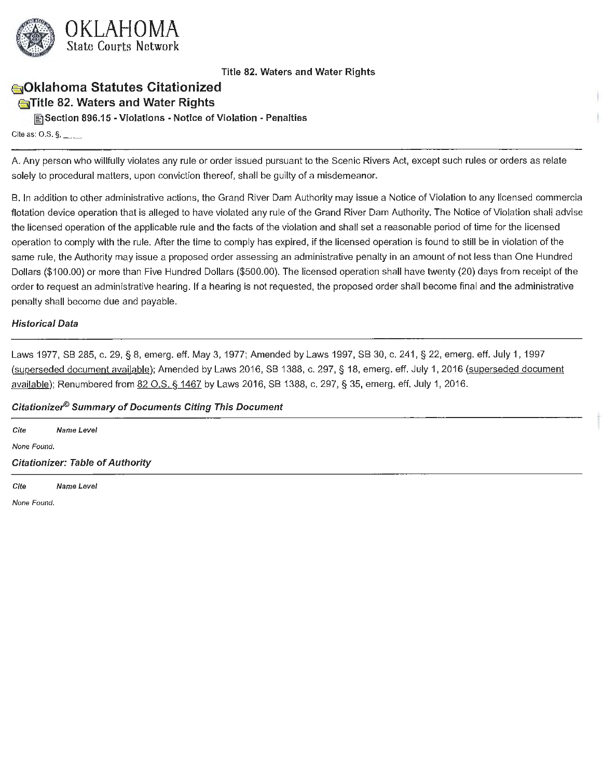

# **1§310klahoma Statutes Citationized €5]Title 82. Waters and Water Rights**

**~Section 896.15** • **Violations** • **Notice of Violation** - **Penalties** 

Cite as: O.S.  $\S$ , \_\_ \_

A. Any person who willfully violates any rule or order issued pursuant to the Scenic Rivers Act, except such rules or orders as relate solely to procedural matters, upon conviction thereof, shall be guilty of a misdemeanor.

B. In addition to other administrative actions, the Grand River Dam Authority may issue a Notice of Violation to any licensed commercia flotation device operation that is alleged to have violated any rule of the Grand River Dam Authority. The Notice of Violation shall advise the licensed operation of the applicable rule and the facts of the violation and shall set a reasonable period of time for the licensed operation to comply with the rule. After the time to comply has expired, if the licensed operation is found to still be in violation of the same rule, the Authority may issue a proposed order assessing an administrative penalty in an amount of not less than One Hundred Dollars (\$100.00) or more than Five Hundred Dollars (\$500.00). The licensed operation shall have twenty (20) days from receipt of the order to request an administrative hearing. If a hearing is not requested, the proposed order shall become final and the administrative penalty shall become due and payable.

#### **Historical Data**

Laws 1977, SB 285, c. 29, § 8, emerg. eff. May 3, 1977; Amended by Laws 1997, SB 30, c. 241 , § 22, emerg. eff. July 1, 1997 (superseded document available); Amended by Laws 2016, SB 1388, c. 297, § 18, emerg. eff. July 1, 2016 (superseded document available); Renumbered from 82 O.S. § 1467 by Laws 2016, SB 1388, c. 297, § 35, emerg. eff. July 1, 2016.

## **Citationizer® Summary of Documents Citing This Document**

**Cite Name Level**  None Found. **Citationizer: Table of Authority** 

Cite Name Level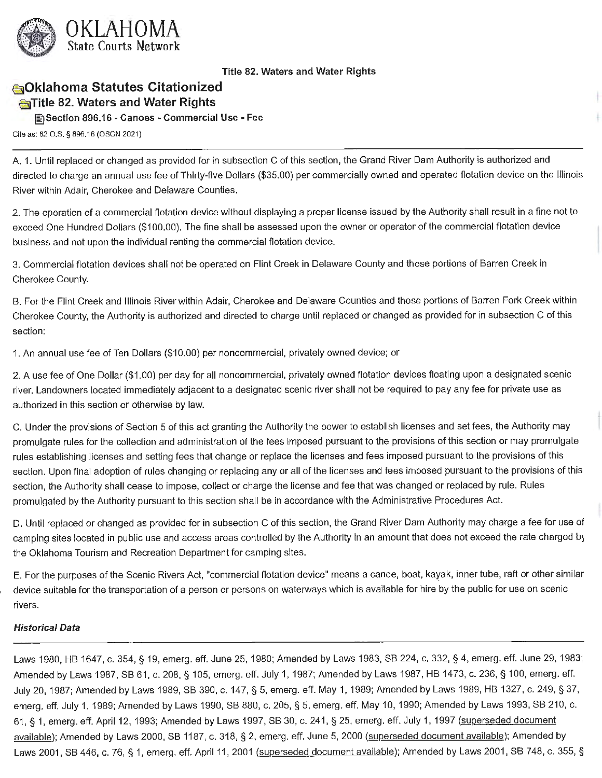

# **esiOklahoma Statutes Citationized 6]Title 82. Waters and Water Rights**

**[filSection 896.16** - **Canoes** - **Commercial Use** - **Fee** 

Cite as: 82 O.S. § 896.16 (OSCN 2021)

A. 1. Until replaced or changed as provided for in subsection C of this section, the Grand River Dam Authority is authorized and directed to charge an annual use fee of Thirty-five Dollars (\$35.00) per commercially owned and operated flotation device on the Illinois River within Adair, Cherokee and Delaware Counties.

2. The operation of a commercial flotation device without displaying a proper license issued by the Authority shall result in a fine not to exceed One Hundred Dollars (\$100.00). The fine shall be assessed upon the owner or operator of the commercial flotation device business and not upon the individual renting the commercial flotation device.

3. Commercial flotation devices shall not be operated on Flint Creek in Delaware County and those portions of Barren Creek in Cherokee County.

B. For the Flint Creek and Illinois River within Adair, Cherokee and Delaware Counties and those portions of Barren Fork Creek within Cherokee County, the Authority is authorized and directed to charge until replaced or changed as provided for in subsection C of this section:

1. An annual use fee of Ten Dollars (\$10.00) per noncommercial, privately owned device; or

2. A use fee of One Dollar (\$1.00) per day for all noncommercial, privately owned flotation devices floating upon a designated scenic river. Landowners located immediately adjacent to a designated scenic river shall not be required to pay any fee for private use as authorized in this section or otherwise by law.

C. Under the provisions of Section 5 of this act granting the Authority the power to establish licenses and set fees, the Authority may promulgate rules for the collection and administration of the fees imposed pursuant to the provisions of this section or may promulgate rules establishing licenses and setting fees that change or replace the licenses and fees imposed pursuant to the provisions of this section. Upon final adoption of rules changing or replacing any or all of the licenses and fees imposed pursuant to the provisions of this section, the Authority shall cease to impose, collect or charge the license and fee that was changed or replaced by rule. Rules promulgated by the Authority pursuant to this section shall be in accordance with the Administrative Procedures Act.

D. Until replaced or changed as provided for in subsection C of this section, the Grand River Dam Authority may charge a fee for use of camping sites located in public use and access areas controlled by the Authority in an amount that does not exceed the rate charged by the Oklahoma Tourism and Recreation Department for camping sites.

E. For the purposes of the Scenic Rivers Act, "commercial flotation device" means a canoe, boat, kayak, inner tube, raft or other similar device suitable for the transportation of a person or persons on waterways which is available for hire by the public for use on scenic rivers.

## **Historical Data**

Laws 1980, HB 1647, c. 354, § 19, emerg. eff. June 25, 1980; Amended by Laws 1983, SB 224, c. 332, § 4, emerg. eff. June 29, 1983; Amended by Laws 1987, SB 61, c. 208, § 105, emerg. eff. July 1, 1987; Amended by Laws 1987, HB 1473, c. 236, § 100, emerg. eff. July 20, 1987; Amended by Laws 1989, SB 390, c. 147, § 5, emerg. eff. May 1, 1989; Amended by Laws 1989, HB 1327, c. 249, § 37, emerg. eff. July 1, 1989; Amended by Laws 1990, SB 880, c. 205, § 5, emerg. eff. May 10, 1990; Amended by Laws 1993, SB 210, c. 61, § 1, emerg. eff. April 12, 1993; Amended by Laws 1997, SB 30, c. 241, § 25, emerg. eff. July 1, 1997 (superseded document available); Amended by Laws 2000, SB 1187, c. 318, § 2, emerg. eff. June 5, 2000 (superseded document available); Amended by Laws 2001, SB 446, c. 76, § 1, emerg. eff. April 11, 2001 (superseded document available); Amended by Laws 2001, SB 748, c. 355, §